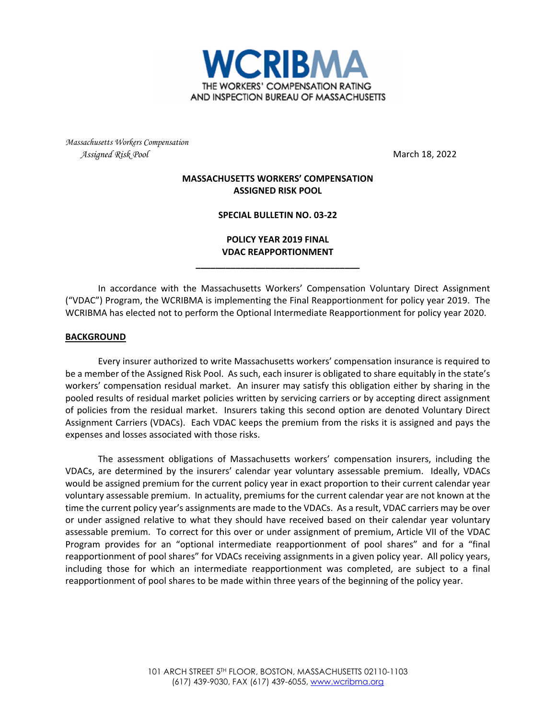

*Massachusetts Workers Compensation Assigned Risk Pool* March 18, 2022

## **MASSACHUSETTS WORKERS' COMPENSATION ASSIGNED RISK POOL**

## **SPECIAL BULLETIN NO. 03‐22**

**POLICY YEAR 2019 FINAL VDAC REAPPORTIONMENT**

**\_\_\_\_\_\_\_\_\_\_\_\_\_\_\_\_\_\_\_\_\_\_\_\_\_\_\_\_\_\_\_\_\_**

In accordance with the Massachusetts Workers' Compensation Voluntary Direct Assignment ("VDAC") Program, the WCRIBMA is implementing the Final Reapportionment for policy year 2019. The WCRIBMA has elected not to perform the Optional Intermediate Reapportionment for policy year 2020.

## **BACKGROUND**

Every insurer authorized to write Massachusetts workers' compensation insurance is required to be a member of the Assigned Risk Pool. As such, each insurer is obligated to share equitably in the state's workers' compensation residual market. An insurer may satisfy this obligation either by sharing in the pooled results of residual market policies written by servicing carriers or by accepting direct assignment of policies from the residual market. Insurers taking this second option are denoted Voluntary Direct Assignment Carriers (VDACs). Each VDAC keeps the premium from the risks it is assigned and pays the expenses and losses associated with those risks.

The assessment obligations of Massachusetts workers' compensation insurers, including the VDACs, are determined by the insurers' calendar year voluntary assessable premium. Ideally, VDACs would be assigned premium for the current policy year in exact proportion to their current calendar year voluntary assessable premium. In actuality, premiums for the current calendar year are not known at the time the current policy year's assignments are made to the VDACs. As a result, VDAC carriers may be over or under assigned relative to what they should have received based on their calendar year voluntary assessable premium. To correct for this over or under assignment of premium, Article VII of the VDAC Program provides for an "optional intermediate reapportionment of pool shares" and for a "final reapportionment of pool shares" for VDACs receiving assignments in a given policy year. All policy years, including those for which an intermediate reapportionment was completed, are subject to a final reapportionment of pool shares to be made within three years of the beginning of the policy year.